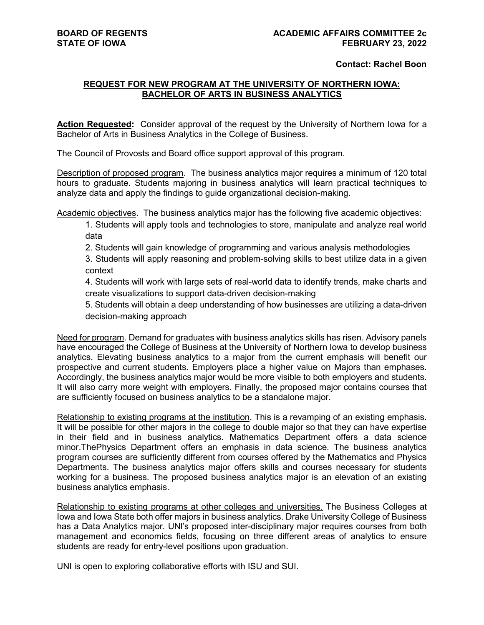### **Contact: Rachel Boon**

# **REQUEST FOR NEW PROGRAM AT THE UNIVERSITY OF NORTHERN IOWA: BACHELOR OF ARTS IN BUSINESS ANALYTICS**

**Action Requested:** Consider approval of the request by the University of Northern Iowa for a Bachelor of Arts in Business Analytics in the College of Business.

The Council of Provosts and Board office support approval of this program.

Description of proposed program. The business analytics major requires a minimum of 120 total hours to graduate. Students majoring in business analytics will learn practical techniques to analyze data and apply the findings to guide organizational decision-making.

Academic objectives. The business analytics major has the following five academic objectives:

1. Students will apply tools and technologies to store, manipulate and analyze real world data

2. Students will gain knowledge of programming and various analysis methodologies

3. Students will apply reasoning and problem-solving skills to best utilize data in a given context

4. Students will work with large sets of real-world data to identify trends, make charts and create visualizations to support data-driven decision-making

5. Students will obtain a deep understanding of how businesses are utilizing a data-driven decision-making approach

Need for program. Demand for graduates with business analytics skills has risen. Advisory panels have encouraged the College of Business at the University of Northern Iowa to develop business analytics. Elevating business analytics to a major from the current emphasis will benefit our prospective and current students. Employers place a higher value on Majors than emphases. Accordingly, the business analytics major would be more visible to both employers and students. It will also carry more weight with employers. Finally, the proposed major contains courses that are sufficiently focused on business analytics to be a standalone major.

Relationship to existing programs at the institution. This is a revamping of an existing emphasis. It will be possible for other majors in the college to double major so that they can have expertise in their field and in business analytics. Mathematics Department offers a data science minor.ThePhysics Department offers an emphasis in data science. The business analytics program courses are sufficiently different from courses offered by the Mathematics and Physics Departments. The business analytics major offers skills and courses necessary for students working for a business. The proposed business analytics major is an elevation of an existing business analytics emphasis.

Relationship to existing programs at other colleges and universities. The Business Colleges at Iowa and Iowa State both offer majors in business analytics. Drake University College of Business has a Data Analytics major. UNl's proposed inter-disciplinary major requires courses from both management and economics fields, focusing on three different areas of analytics to ensure students are ready for entry-level positions upon graduation.

UNI is open to exploring collaborative efforts with ISU and SUI.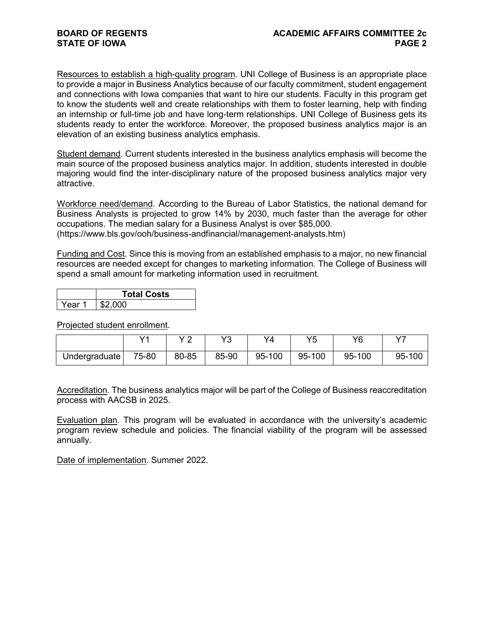Resources to establish a high-quality program. UNI College of Business is an appropriate place to provide a major in Business Analytics because of our faculty commitment, student engagement and connections with Iowa companies that want to hire our students. Faculty in this program get to know the students well and create relationships with them to foster learning, help with finding an internship or full-time job and have long-term relationships. UNI College of Business gets its students ready to enter the workforce. Moreover, the proposed business analytics major is an elevation of an existing business analytics emphasis.

Student demand. Current students interested in the business analytics emphasis will become the main source of the proposed business analytics major. In addition, students interested in double majoring would find the inter-disciplinary nature of the proposed business analytics major very attractive.

Workforce need/demand. According to the Bureau of Labor Statistics, the national demand for Business Analysts is projected to grow 14% by 2030, much faster than the average for other occupations. The median salary for a Business Analyst is over \$85,000. (https://www.bls.gov/ooh/business-andfinancial/management-analysts.htm)

Funding and Cost. Since this is moving from an established emphasis to a major, no new financial resources are needed except for changes to marketing information. The College of Business will spend a small amount for marketing information used in recruitment.

|        | <b>Total Costs</b> |  |  |  |
|--------|--------------------|--|--|--|
| Year 1 | \$2,000            |  |  |  |

Projected student enrollment.

|               | $\sqrt{4}$ | v o   | V2<br>w | V4     | VĘ     | VQ     | $\rightarrow$ |
|---------------|------------|-------|---------|--------|--------|--------|---------------|
| Undergraduate | 75-80      | 80-85 | 85-90   | 95-100 | 95-100 | 95-100 | 95-100        |

Accreditation. The business analytics major will be part of the College of Business reaccreditation process with AACSB in 2025.

Evaluation plan. This program will be evaluated in accordance with the university's academic program review schedule and policies. The financial viability of the program will be assessed annually.

Date of implementation. Summer 2022.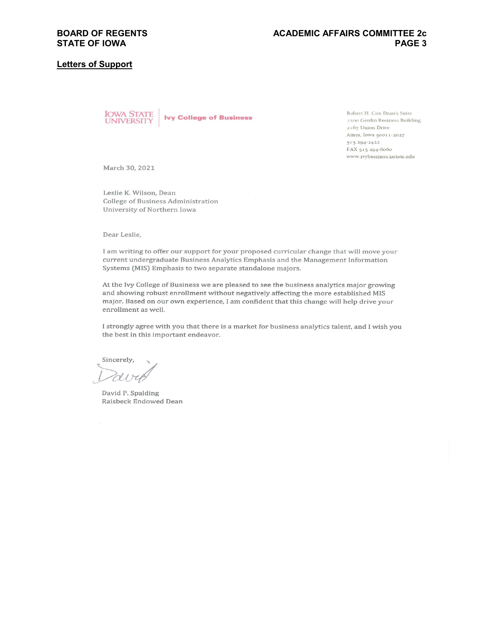#### **Letters of Support**



Robert H. Cox Dean's Suite 2200 Gerdin Business Building 2167 Union Drive Ames, Iowa 50011-2027 515 294-2422 FAX 515 294-6060 www.ivybusiness.iastate.edu

March 30, 2021

Leslie K. Wilson, Dean College of Business Administration University of Northern Iowa

Dear Leslie,

I am writing to offer our support for your proposed curricular change that will move your current undergraduate Business Analytics Emphasis and the Management Information Systems (MIS) Emphasis to two separate standalone majors.

At the Ivy College of Business we are pleased to see the business analytics major growing and showing robust enrollment without negatively affecting the more established MIS major. Based on our own experience, I am confident that this change will help drive your enrollment as well.

I strongly agree with you that there is a market for business analytics talent, and I wish you the best in this important endeavor.

Sincerely,

David P. Spalding Raisbeck Endowed Dean